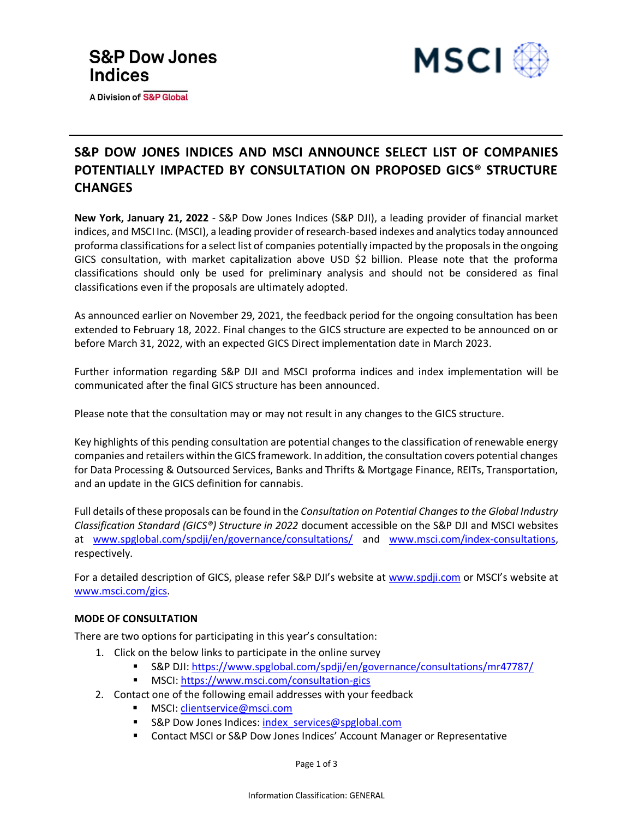

A Division of S&P Global



## **S&P DOW JONES INDICES AND MSCI ANNOUNCE SELECT LIST OF COMPANIES POTENTIALLY IMPACTED BY CONSULTATION ON PROPOSED GICS® STRUCTURE CHANGES**

**New York, January 21, 2022** - S&P Dow Jones Indices (S&P DJI), a leading provider of financial market indices, and MSCI Inc. (MSCI), a leading provider of research-based indexes and analytics today announced proforma classifications for a select list of companies potentially impacted by the proposals in the ongoing GICS consultation, with market capitalization above USD \$2 billion. Please note that the proforma classifications should only be used for preliminary analysis and should not be considered as final classifications even if the proposals are ultimately adopted.

As announced earlier on November 29, 2021, the feedback period for the ongoing consultation has been extended to February 18, 2022. Final changes to the GICS structure are expected to be announced on or before March 31, 2022, with an expected GICS Direct implementation date in March 2023.

Further information regarding S&P DJI and MSCI proforma indices and index implementation will be communicated after the final GICS structure has been announced.

Please note that the consultation may or may not result in any changes to the GICS structure.

Key highlights of this pending consultation are potential changes to the classification of renewable energy companies and retailers within the GICS framework. In addition, the consultation covers potential changes for Data Processing & Outsourced Services, Banks and Thrifts & Mortgage Finance, REITs, Transportation, and an update in the GICS definition for cannabis.

Full details of these proposals can be found in the *Consultation on Potential Changes to the Global Industry Classification Standard (GICS®) Structure in 2022* document accessible on the S&P DJI and MSCI websites at [www.spglobal.com/spdji/en/governance/consultations/](https://www.spglobal.com/spdji/en/governance/consultations/#open-consultations) and [www.msci.com/index-consultations,](https://www.msci.com/index-consultations) respectively.

For a detailed description of GICS, please refer S&P DJI's website at [www.spdji.com](http://www.spdji.com/) or MSCI's website at www.msci.com/gics.

### **MODE OF CONSULTATION**

There are two options for participating in this year's consultation:

- 1. Click on the below links to participate in the online survey
	- S&P DJI[: https://www.spglobal.com/spdji/en/governance/consultations/mr47787/](https://www.spglobal.com/spdji/en/governance/consultations/mr47787/)
	- MSCI:<https://www.msci.com/consultation-gics>
- 2. Contact one of the following email addresses with your feedback
	- MSCI: [clientservice@msci.com](mailto:clientservice@msci.com?subject=Consultation%20on%20Potential%20Changes%20to%20the%20GICS%20Structure%20in%202022%20)
	- S&P Dow Jones Indices: [index\\_services@spglobal.com](mailto:index_services@spglobal.com?subject=Consultation%20on%20Potential%20Changes%20to%20the%20GICS%20Structure%20in%202022%20)
	- Contact MSCI or S&P Dow Jones Indices' Account Manager or Representative

Page 1 of 3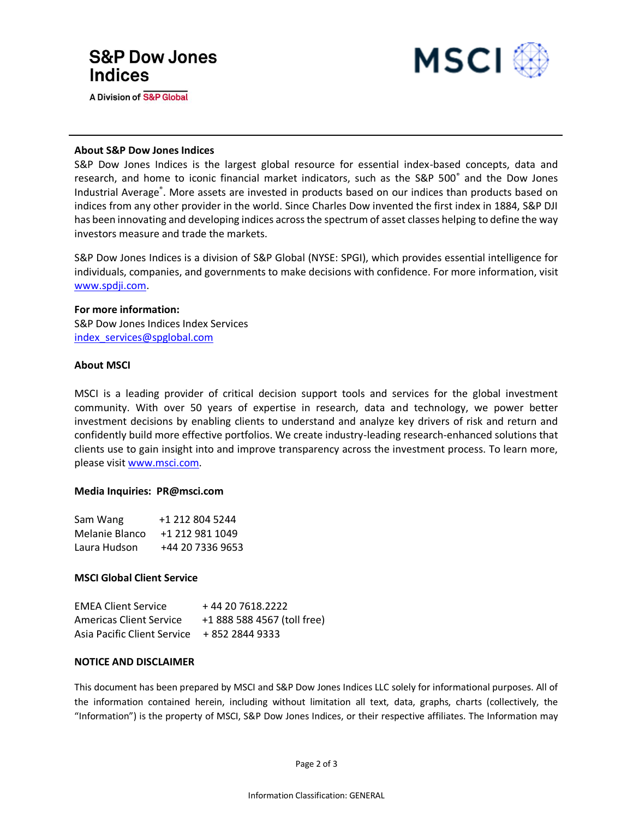# **S&P Dow Jones Indices**

**A Division of S&P Global** 



#### **About S&P Dow Jones Indices**

S&P Dow Jones Indices is the largest global resource for essential index-based concepts, data and research, and home to iconic financial market indicators, such as the S&P 500<sup>®</sup> and the Dow Jones Industrial Average®. More assets are invested in products based on our indices than products based on indices from any other provider in the world. Since Charles Dow invented the first index in 1884, S&P DJI has been innovating and developing indices across the spectrum of asset classes helping to define the way investors measure and trade the markets.

S&P Dow Jones Indices is a division of S&P Global (NYSE: SPGI), which provides essential intelligence for individuals, companies, and governments to make decisions with confidence. For more information, visit [www.spdji.com.](file:///C:/Users/tnmalink/AppData/Local/Microsoft/Windows/Temporary%20Internet%20Files/Content.Outlook/3A2TRMUO/www.spdji.com)

#### **For more information:**

S&P Dow Jones Indices Index Services [index\\_services@spglobal.com](mailto:index_services@spglobal.com)

#### **About MSCI**

MSCI is a leading provider of critical decision support tools and services for the global investment community. With over 50 years of expertise in research, data and technology, we power better investment decisions by enabling clients to understand and analyze key drivers of risk and return and confidently build more effective portfolios. We create industry-leading research-enhanced solutions that clients use to gain insight into and improve transparency across the investment process. To learn more, please visit [www.msci.com.](http://www.msci.com/)

#### **Media Inquiries: PR@msci.com**

| Sam Wang       | +1 212 804 5244  |
|----------------|------------------|
| Melanie Blanco | +1 212 981 1049  |
| Laura Hudson   | +44 20 7336 9653 |

#### **MSCI Global Client Service**

| <b>EMEA Client Service</b>                  | +44 20 7618.2222            |
|---------------------------------------------|-----------------------------|
| <b>Americas Client Service</b>              | +1 888 588 4567 (toll free) |
| Asia Pacific Client Service + 852 2844 9333 |                             |

#### **NOTICE AND DISCLAIMER**

This document has been prepared by MSCI and S&P Dow Jones Indices LLC solely for informational purposes. All of the information contained herein, including without limitation all text, data, graphs, charts (collectively, the "Information") is the property of MSCI, S&P Dow Jones Indices, or their respective affiliates. The Information may